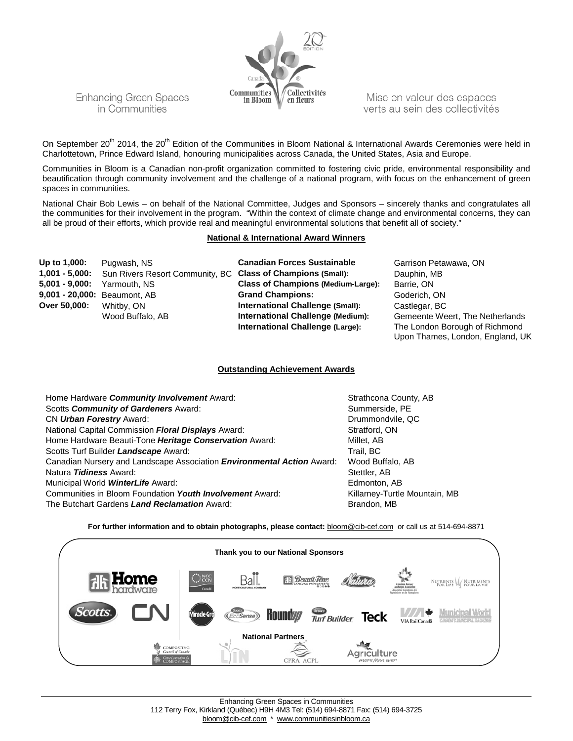

Mise en valeur des espaces verts au sein des collectivités

On September 20<sup>th</sup> 2014, the 20<sup>th</sup> Edition of the Communities in Bloom National & International Awards Ceremonies were held in Charlottetown, Prince Edward Island, honouring municipalities across Canada, the United States, Asia and Europe.

Communities in Bloom is a Canadian non-profit organization committed to fostering civic pride, environmental responsibility and beautification through community involvement and the challenge of a national program, with focus on the enhancement of green spaces in communities.

National Chair Bob Lewis – on behalf of the National Committee, Judges and Sponsors – sincerely thanks and congratulates all the communities for their involvement in the program. "Within the context of climate change and environmental concerns, they can all be proud of their efforts, which provide real and meaningful environmental solutions that benefit all of society."

#### **National & International Award Winners**

| Up to 1,000:      | Pugwash, NS                                                 | <b>Canadian Forces Sustainable</b>        | Garrison Petawawa, ON                                              |
|-------------------|-------------------------------------------------------------|-------------------------------------------|--------------------------------------------------------------------|
| $1,001 - 5,000$ : | Sun Rivers Resort Community, BC Class of Champions (Small): |                                           | Dauphin, MB                                                        |
| $5,001 - 9,000$ : | Yarmouth, NS                                                | <b>Class of Champions (Medium-Large):</b> | Barrie, ON                                                         |
|                   | 9,001 - 20,000: Beaumont, AB                                | <b>Grand Champions:</b>                   | Goderich, ON                                                       |
| Over 50,000:      | Whitby, ON                                                  | International Challenge (Small):          | Castlegar, BC                                                      |
|                   | Wood Buffalo, AB                                            | International Challenge (Medium):         | Gemeente Weert, The Netherlands                                    |
|                   |                                                             | International Challenge (Large):          | The London Borough of Richmond<br>Upon Thames, London, England, UK |

### **Outstanding Achievement Awards**

| Home Hardware Community Involvement Award:                                    | Strathcona County, AB         |
|-------------------------------------------------------------------------------|-------------------------------|
| Scotts Community of Gardeners Award:                                          | Summerside, PE                |
| CN Urban Forestry Award:                                                      | Drummondvile, QC              |
| National Capital Commission Floral Displays Award:                            | Stratford, ON                 |
| Home Hardware Beauti-Tone Heritage Conservation Award:                        | Millet. AB                    |
| Scotts Turf Builder Landscape Award:                                          | Trail, BC                     |
| Canadian Nursery and Landscape Association <i>Environmental Action</i> Award: | Wood Buffalo, AB              |
| Natura <i>Tidiness</i> Award:                                                 | Stettler, AB                  |
| Municipal World <b>WinterLife</b> Award:                                      | Edmonton, AB                  |
| Communities in Bloom Foundation Youth Involvement Award:                      | Killarney-Turtle Mountain, MB |
| The Butchart Gardens Land Reclamation Award:                                  | Brandon, MB                   |
|                                                                               |                               |

**For further information and to obtain photographs, please contact:** [bloom@cib-cef.com](mailto:bloom@cib-cef.com) or call us at 514-694-8871

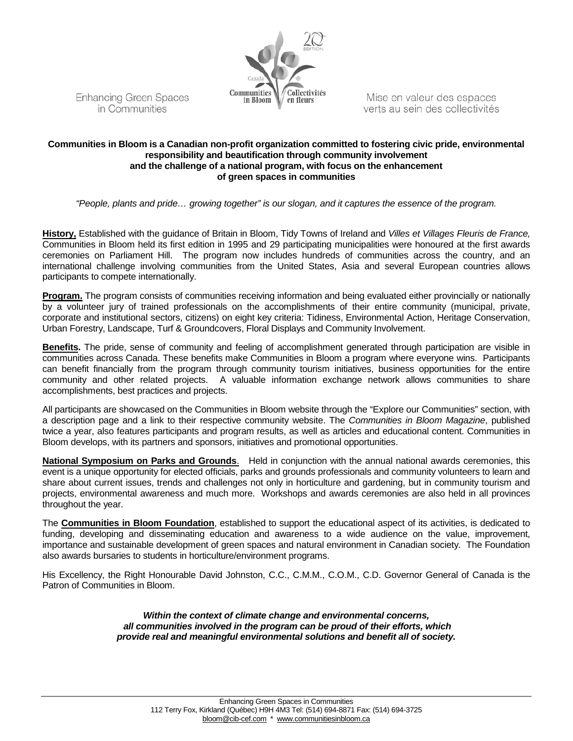

Mise en valeur des espaces verts au sein des collectivités

# **Communities in Bloom is a Canadian non-profit organization committed to fostering civic pride, environmental responsibility and beautification through community involvement and the challenge of a national program, with focus on the enhancement of green spaces in communities**

*"People, plants and pride… growing together" is our slogan, and it captures the essence of the program.*

**History,** Established with the guidance of Britain in Bloom, Tidy Towns of Ireland and *Villes et Villages Fleuris de France,*  Communities in Bloom held its first edition in 1995 and 29 participating municipalities were honoured at the first awards ceremonies on Parliament Hill. The program now includes hundreds of communities across the country, and an international challenge involving communities from the United States, Asia and several European countries allows participants to compete internationally.

**Program.** The program consists of communities receiving information and being evaluated either provincially or nationally by a volunteer jury of trained professionals on the accomplishments of their entire community (municipal, private, corporate and institutional sectors, citizens) on eight key criteria: Tidiness, Environmental Action, Heritage Conservation, Urban Forestry, Landscape, Turf & Groundcovers, Floral Displays and Community Involvement.

**Benefits.** The pride, sense of community and feeling of accomplishment generated through participation are visible in communities across Canada. These benefits make Communities in Bloom a program where everyone wins. Participants can benefit financially from the program through community tourism initiatives, business opportunities for the entire community and other related projects. A valuable information exchange network allows communities to share accomplishments, best practices and projects.

All participants are showcased on the Communities in Bloom website through the "Explore our Communities" section, with a description page and a link to their respective community website. The *Communities in Bloom Magazine*, published twice a year, also features participants and program results, as well as articles and educational content. Communities in Bloom develops, with its partners and sponsors, initiatives and promotional opportunities.

**National Symposium on Parks and Grounds**. Held in conjunction with the annual national awards ceremonies, this event is a unique opportunity for elected officials, parks and grounds professionals and community volunteers to learn and share about current issues, trends and challenges not only in horticulture and gardening, but in community tourism and projects, environmental awareness and much more. Workshops and awards ceremonies are also held in all provinces throughout the year.

The **Communities in Bloom Foundation**, established to support the educational aspect of its activities, is dedicated to funding, developing and disseminating education and awareness to a wide audience on the value, improvement, importance and sustainable development of green spaces and natural environment in Canadian society. The Foundation also awards bursaries to students in horticulture/environment programs.

His Excellency, the Right Honourable David Johnston, C.C., C.M.M., C.O.M., C.D. Governor General of Canada is the Patron of Communities in Bloom.

> *Within the context of climate change and environmental concerns, all communities involved in the program can be proud of their efforts, which provide real and meaningful environmental solutions and benefit all of society.*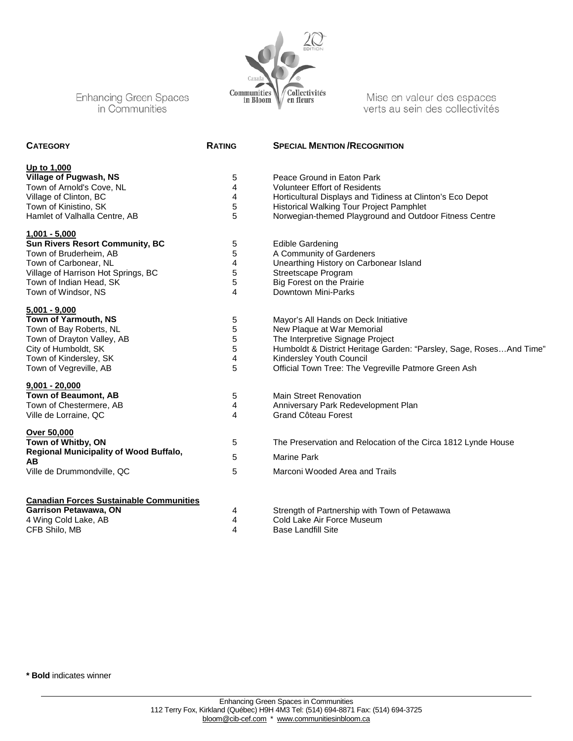

Mise en valeur des espaces verts au sein des collectivités

| <b>CATEGORY</b>                                | <b>RATING</b> | <b>SPECIAL MENTION / RECOGNITION</b>                                 |
|------------------------------------------------|---------------|----------------------------------------------------------------------|
| Up to 1,000                                    |               |                                                                      |
| <b>Village of Pugwash, NS</b>                  | 5             | Peace Ground in Eaton Park                                           |
| Town of Arnold's Cove, NL                      | 4             | <b>Volunteer Effort of Residents</b>                                 |
| Village of Clinton, BC                         | 4             | Horticultural Displays and Tidiness at Clinton's Eco Depot           |
| Town of Kinistino, SK                          | 5             | Historical Walking Tour Project Pamphlet                             |
| Hamlet of Valhalla Centre, AB                  | 5             | Norwegian-themed Playground and Outdoor Fitness Centre               |
| $1,001 - 5,000$                                |               |                                                                      |
| <b>Sun Rivers Resort Community, BC</b>         | 5             | <b>Edible Gardening</b>                                              |
| Town of Bruderheim, AB                         | 5             | A Community of Gardeners                                             |
| Town of Carbonear, NL                          | 4             | Unearthing History on Carbonear Island                               |
| Village of Harrison Hot Springs, BC            | 5             | Streetscape Program                                                  |
| Town of Indian Head, SK                        | 5             | Big Forest on the Prairie                                            |
| Town of Windsor, NS                            | 4             | Downtown Mini-Parks                                                  |
| $5,001 - 9,000$                                |               |                                                                      |
| Town of Yarmouth, NS                           | 5             | Mayor's All Hands on Deck Initiative                                 |
| Town of Bay Roberts, NL                        | 5             | New Plaque at War Memorial                                           |
| Town of Drayton Valley, AB                     | 5             | The Interpretive Signage Project                                     |
| City of Humboldt, SK                           | 5             | Humboldt & District Heritage Garden: "Parsley, Sage, Roses And Time" |
| Town of Kindersley, SK                         | 4             | Kindersley Youth Council                                             |
| Town of Vegreville, AB                         | 5             | Official Town Tree: The Vegreville Patmore Green Ash                 |
| $9,001 - 20,000$                               |               |                                                                      |
| <b>Town of Beaumont, AB</b>                    | 5             | <b>Main Street Renovation</b>                                        |
| Town of Chestermere, AB                        | 4             | Anniversary Park Redevelopment Plan                                  |
| Ville de Lorraine, QC                          | 4             | Grand Côteau Forest                                                  |
| <b>Over 50,000</b>                             |               |                                                                      |
| Town of Whitby, ON                             | 5             | The Preservation and Relocation of the Circa 1812 Lynde House        |
| Regional Municipality of Wood Buffalo,<br>AB   | 5             | <b>Marine Park</b>                                                   |
| Ville de Drummondville, QC                     | 5             | Marconi Wooded Area and Trails                                       |
| <b>Canadian Forces Sustainable Communities</b> |               |                                                                      |
| Garrison Petawawa, ON                          | 4             | Strength of Partnership with Town of Petawawa                        |
| 4 Wing Cold Lake, AB                           | 4             | Cold Lake Air Force Museum                                           |
| CFB Shilo, MB                                  | 4             | <b>Base Landfill Site</b>                                            |

**\* Bold** indicates winner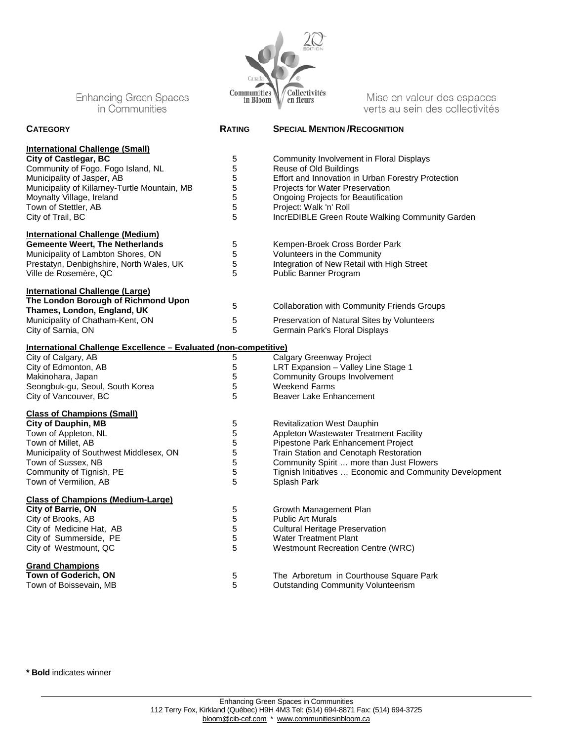

Mise en valeur des espaces verts au sein des collectivités

| <b>CATEGORY</b>                                                    | <b>RATING</b> | <b>SPECIAL MENTION / RECOGNITION</b>                    |
|--------------------------------------------------------------------|---------------|---------------------------------------------------------|
| <b>International Challenge (Small)</b>                             |               |                                                         |
| <b>City of Castlegar, BC</b>                                       | 5             | Community Involvement in Floral Displays                |
| Community of Fogo, Fogo Island, NL                                 | 5             | Reuse of Old Buildings                                  |
| Municipality of Jasper, AB                                         | 5             | Effort and Innovation in Urban Forestry Protection      |
| Municipality of Killarney-Turtle Mountain, MB                      | 5             | <b>Projects for Water Preservation</b>                  |
| Moynalty Village, Ireland                                          | 5             | Ongoing Projects for Beautification                     |
| Town of Stettler, AB                                               | 5             | Project: Walk 'n' Roll                                  |
| City of Trail, BC                                                  | 5             | IncrEDIBLE Green Route Walking Community Garden         |
| <b>International Challenge (Medium)</b>                            |               |                                                         |
| <b>Gemeente Weert, The Netherlands</b>                             | 5             | Kempen-Broek Cross Border Park                          |
| Municipality of Lambton Shores, ON                                 | 5             | Volunteers in the Community                             |
| Prestatyn, Denbighshire, North Wales, UK                           | 5             | Integration of New Retail with High Street              |
| Ville de Rosemère, QC                                              | 5             | Public Banner Program                                   |
| <b>International Challenge (Large)</b>                             |               |                                                         |
| The London Borough of Richmond Upon<br>Thames, London, England, UK | 5             | <b>Collaboration with Community Friends Groups</b>      |
| Municipality of Chatham-Kent, ON                                   | 5             | Preservation of Natural Sites by Volunteers             |
| City of Sarnia, ON                                                 | 5             | Germain Park's Floral Displays                          |
|                                                                    |               |                                                         |
| International Challenge Excellence - Evaluated (non-competitive)   |               |                                                         |
| City of Calgary, AB                                                | 5             | <b>Calgary Greenway Project</b>                         |
| City of Edmonton, AB                                               | $\mathbf 5$   | LRT Expansion - Valley Line Stage 1                     |
| Makinohara, Japan                                                  | 5             | <b>Community Groups Involvement</b>                     |
| Seongbuk-gu, Seoul, South Korea                                    | 5             | <b>Weekend Farms</b>                                    |
| City of Vancouver, BC                                              | 5             | Beaver Lake Enhancement                                 |
| <b>Class of Champions (Small)</b>                                  |               |                                                         |
| <b>City of Dauphin, MB</b>                                         | $\mathbf 5$   | <b>Revitalization West Dauphin</b>                      |
| Town of Appleton, NL                                               | 5             | Appleton Wastewater Treatment Facility                  |
| Town of Millet, AB                                                 | 5             | Pipestone Park Enhancement Project                      |
| Municipality of Southwest Middlesex, ON                            | 5             | Train Station and Cenotaph Restoration                  |
| Town of Sussex, NB                                                 | 5             | Community Spirit  more than Just Flowers                |
| Community of Tignish, PE                                           | 5             | Tignish Initiatives  Economic and Community Development |
| Town of Vermilion, AB                                              | 5             | Splash Park                                             |
| <b>Class of Champions (Medium-Large)</b>                           |               |                                                         |
| City of Barrie, ON                                                 | 5             | Growth Management Plan                                  |
| City of Brooks, AB                                                 | 5             | <b>Public Art Murals</b>                                |
| City of Medicine Hat, AB                                           | 5             | <b>Cultural Heritage Preservation</b>                   |
| City of Summerside, PE                                             | 5             | <b>Water Treatment Plant</b>                            |
| City of Westmount, QC                                              | 5             | Westmount Recreation Centre (WRC)                       |
| <b>Grand Champions</b>                                             |               |                                                         |
| Town of Goderich, ON                                               | 5             | The Arboretum in Courthouse Square Park                 |
| Town of Boissevain, MB                                             | 5             | <b>Outstanding Community Volunteerism</b>               |

**\* Bold** indicates winner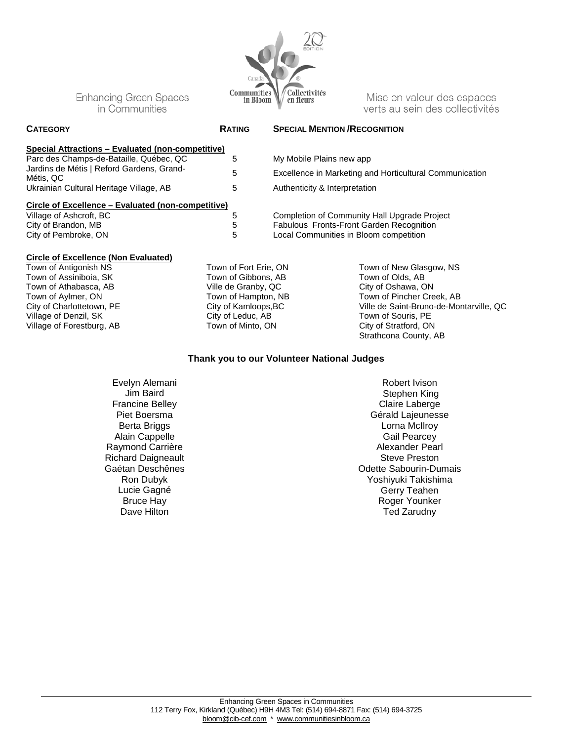

| <b>RATING</b>                                      | <b>SPECIAL MENTION / RECOGNITION</b>                    |
|----------------------------------------------------|---------------------------------------------------------|
|                                                    |                                                         |
| 5                                                  | My Mobile Plains new app                                |
| 5                                                  | Excellence in Marketing and Horticultural Communication |
| 5                                                  | Authenticity & Interpretation                           |
| Circle of Excellence – Evaluated (non-competitive) |                                                         |
| 5                                                  | Completion of Community Hall Upgrade Project            |
| 5                                                  | <b>Fabulous Fronts-Front Garden Recognition</b>         |
| 5                                                  | Local Communities in Bloom competition                  |
|                                                    | Special Attractions - Evaluated (non-competitive)       |

## **Circle of Excellence (Non Evaluated)**

Town of Antigonish NS Town of Assiniboia, SK Town of Athabasca, AB Town of Aylmer, ON City of Charlottetown, PE Village of Denzil, SK Village of Forestburg, AB Town of Fort Erie, ON Town of Gibbons, AB Ville de Granby, QC Town of Hampton, NB City of Kamloops,BC City of Leduc, AB Town of Minto, ON

Town of New Glasgow, NS Town of Olds, AB City of Oshawa, ON Town of Pincher Creek, AB Ville de Saint-Bruno-de-Montarville, QC Town of Souris, PE City of Stratford, ON Strathcona County, AB

Mise en valeur des espaces

verts au sein des collectivités

### **Thank you to our Volunteer National Judges**

Evelyn Alemani Jim Baird Francine Belley Piet Boersma Berta Briggs Alain Cappelle Raymond Carrière Richard Daigneault Gaétan Deschênes Ron Dubyk Lucie Gagné Bruce Hay Dave Hilton

Robert Ivison Stephen King Claire Laberge Gérald Lajeunesse Lorna McIlroy Gail Pearcey Alexander Pearl Steve Preston Odette Sabourin-Dumais Yoshiyuki Takishima Gerry Teahen Roger Younker Ted Zarudny